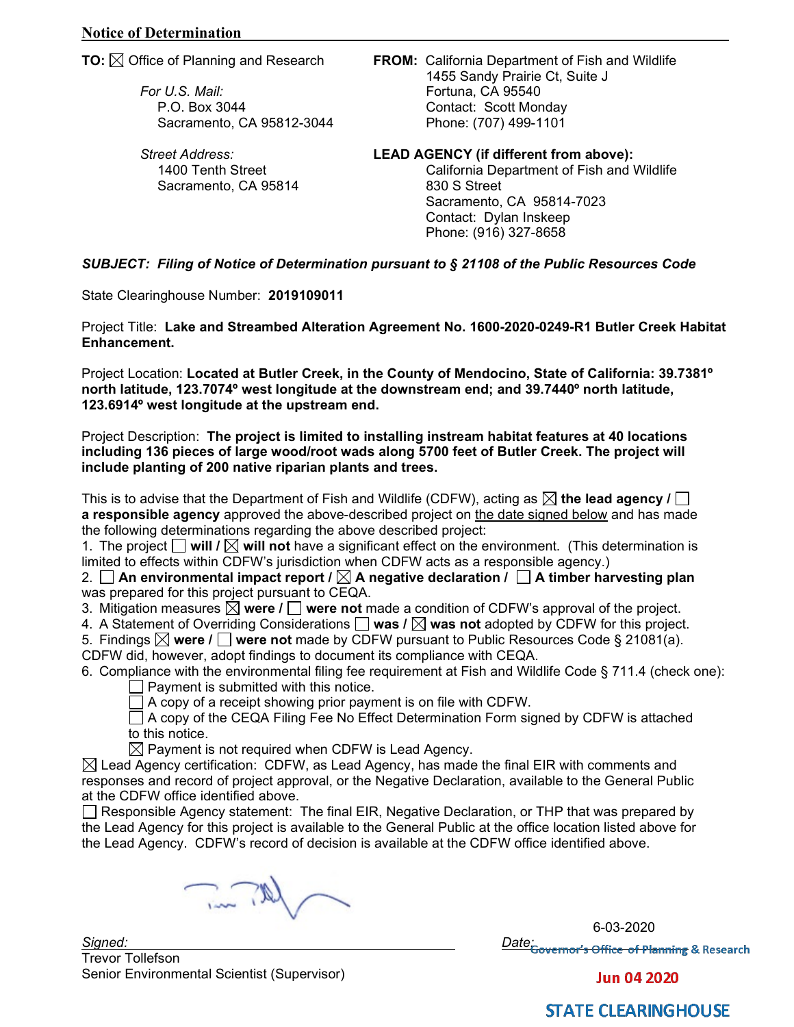*For U.S. Mail:* Fortuna, CA 95540

*Street Address:* **LEAD AGENCY (if different from above):**  Sacramento, CA 95814

**TO:** Office of Planning and Research **FROM:** California Department of Fish and Wildlife 1455 Sandy Prairie Ct, Suite J P.O. Box 3044 Contact: Scott Monday Sacramento, CA 95812-3044 Phone: (707) 499-1101

> 1400 Tenth Street **California Department of Fish and Wildlife**<br>Sacramento, CA 95814 **California B30 S** Street Sacramento, CA 95814-7023 Contact: Dylan Inskeep Phone: (916) 327-8658

*SUBJECT: Filing of Notice of Determination pursuant to § 21108 of the Public Resources Code*

State Clearinghouse Number: **2019109011**

Project Title: **Lake and Streambed Alteration Agreement No. 1600-2020-0249-R1 Butler Creek Habitat Enhancement.**

Project Location: **Located at Butler Creek, in the County of Mendocino, State of California: 39.7381º north latitude, 123.7074º west longitude at the downstream end; and 39.7440º north latitude, 123.6914º west longitude at the upstream end.**

Project Description: **The project is limited to installing instream habitat features at 40 locations including 136 pieces of large wood/root wads along 5700 feet of Butler Creek. The project will include planting of 200 native riparian plants and trees.**

This is to advise that the Department of Fish and Wildlife (CDFW), acting as  $\boxtimes$  the lead agency *l*  $\Box$ **a responsible agency** approved the above-described project on the date signed below and has made the following determinations regarding the above described project:

1. The project  $\Box$  will  $\Box$  will not have a significant effect on the environment. (This determination is limited to effects within CDFW's jurisdiction when CDFW acts as a responsible agency.)

2.  $\Box$  An environmental impact report /  $\boxtimes$  A negative declaration /  $\Box$  A timber harvesting plan was prepared for this project pursuant to CEQA.

3. Mitigation measures  $\boxtimes$  were  $\prime$   $\Box$  were not made a condition of CDFW's approval of the project.

4. A Statement of Overriding Considerations  $\square$  was  $\ell \boxtimes$  was not adopted by CDFW for this project. 5. Findings **were / were not** made by CDFW pursuant to Public Resources Code § 21081(a).

CDFW did, however, adopt findings to document its compliance with CEQA.

6. Compliance with the environmental filing fee requirement at Fish and Wildlife Code § 711.4 (check one):  $\Box$  Payment is submitted with this notice.

 $\Box$  A copy of a receipt showing prior payment is on file with CDFW.

 $\Box$  A copy of the CEQA Filing Fee No Effect Determination Form signed by CDFW is attached to this notice.

 $\boxtimes$  Payment is not required when CDFW is Lead Agency.

 $\boxtimes$  Lead Agency certification: CDFW, as Lead Agency, has made the final EIR with comments and responses and record of project approval, or the Negative Declaration, available to the General Public at the CDFW office identified above.

□ Responsible Agency statement: The final EIR, Negative Declaration, or THP that was prepared by the Lead Agency for this project is available to the General Public at the office location listed above for the Lead Agency. CDFW's record of decision is available at the CDFW office identified above.

 $\sum_{i=1}^n$ 

*Signed: Date:* Trevor Tollefson Senior Environmental Scientist (Supervisor)

6-03-2020<br><mark>Date: <sub>Governor's Office of Planning</mark> & Research</mark></sub>

**Jun 04 2020** 

## **STATE CLEARINGHOUSE**